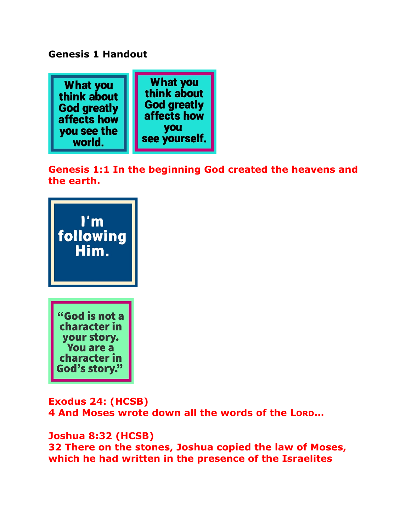## **Genesis 1 Handout**



**Genesis 1:1 In the beginning God created the heavens and the earth.** 



**Exodus 24: (HCSB) 4 And Moses wrote down all the words of the LORD…**

**Joshua 8:32 (HCSB) 32 There on the stones, Joshua copied the law of Moses, which he had written in the presence of the Israelites**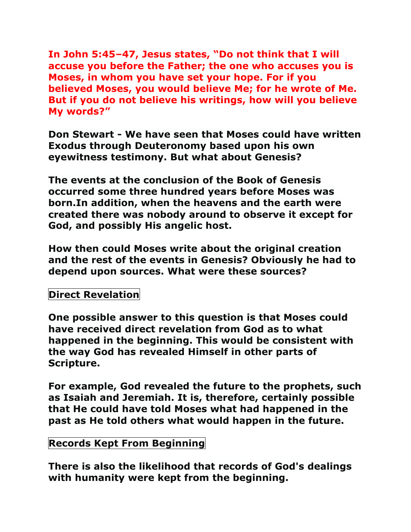**In John 5:45–47, Jesus states, "Do not think that I will accuse you before the Father; the one who accuses you is Moses, in whom you have set your hope. For if you believed Moses, you would believe Me; for he wrote of Me. But if you do not believe his writings, how will you believe My words?"**

**Don Stewart - We have seen that Moses could have written Exodus through Deuteronomy based upon his own eyewitness testimony. But what about Genesis?** 

**The events at the conclusion of the Book of Genesis occurred some three hundred years before Moses was born.In addition, when the heavens and the earth were created there was nobody around to observe it except for God, and possibly His angelic host.** 

**How then could Moses write about the original creation and the rest of the events in Genesis? Obviously he had to depend upon sources. What were these sources?**

# **Direct Revelation**

**One possible answer to this question is that Moses could have received direct revelation from God as to what happened in the beginning. This would be consistent with the way God has revealed Himself in other parts of Scripture.**

**For example, God revealed the future to the prophets, such as Isaiah and Jeremiah. It is, therefore, certainly possible that He could have told Moses what had happened in the past as He told others what would happen in the future.**

#### **Records Kept From Beginning**

**There is also the likelihood that records of God's dealings with humanity were kept from the beginning.**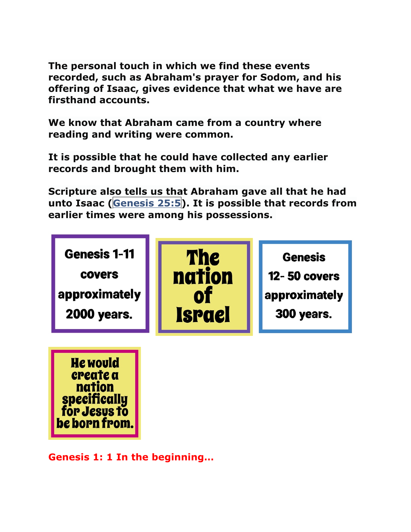**The personal touch in which we find these events recorded, such as Abraham's prayer for Sodom, and his offering of Isaac, gives evidence that what we have are firsthand accounts.** 

**We know that Abraham came from a country where reading and writing were common.** 

**It is possible that he could have collected any earlier records and brought them with him.** 

**Scripture also tells us that Abraham gave all that he had unto Isaac (Genesis 25:5). It is possible that records from earlier times were among his possessions.**



**He would** create a nation specifically for Jesus to be born from

**Genesis 1: 1 In the beginning…**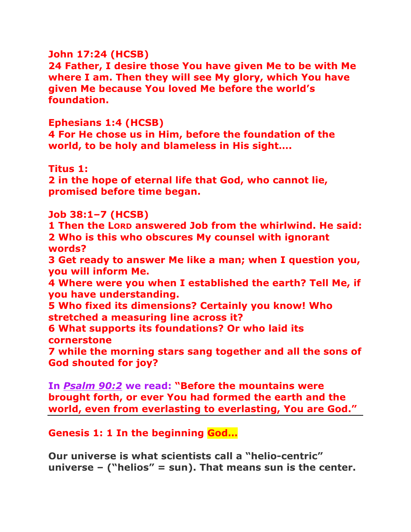### **John 17:24 (HCSB)**

**24 Father, I desire those You have given Me to be with Me where I am. Then they will see My glory, which You have given Me because You loved Me before the world's foundation.** 

#### **Ephesians 1:4 (HCSB)**

**4 For He chose us in Him, before the foundation of the world, to be holy and blameless in His sight….**

#### **Titus 1:**

**2 in the hope of eternal life that God, who cannot lie, promised before time began.** 

#### **Job 38:1–7 (HCSB)**

**1 Then the LORD answered Job from the whirlwind. He said: 2 Who is this who obscures My counsel with ignorant words?** 

**3 Get ready to answer Me like a man; when I question you, you will inform Me.** 

**4 Where were you when I established the earth? Tell Me, if you have understanding.** 

**5 Who fixed its dimensions? Certainly you know! Who stretched a measuring line across it?** 

**6 What supports its foundations? Or who laid its cornerstone** 

**7 while the morning stars sang together and all the sons of God shouted for joy?** 

**In** *Psalm 90:2* **we read: "Before the mountains were brought forth, or ever You had formed the earth and the world, even from everlasting to everlasting, You are God."**

## **Genesis 1: 1 In the beginning God…**

**Our universe is what scientists call a "helio-centric" universe – ("helios" = sun). That means sun is the center.**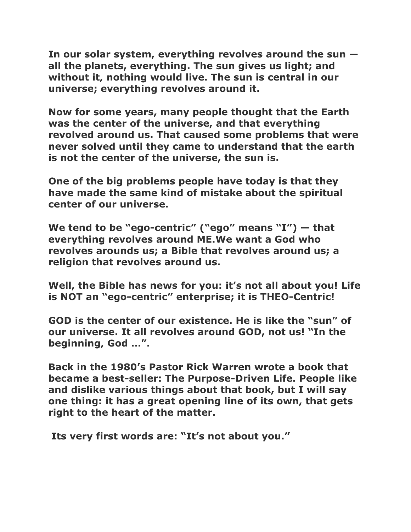**In our solar system, everything revolves around the sun all the planets, everything. The sun gives us light; and without it, nothing would live. The sun is central in our universe; everything revolves around it.**

**Now for some years, many people thought that the Earth was the center of the universe, and that everything revolved around us. That caused some problems that were never solved until they came to understand that the earth is not the center of the universe, the sun is.**

**One of the big problems people have today is that they have made the same kind of mistake about the spiritual center of our universe.** 

**We tend to be "ego-centric" ("ego" means "I") — that everything revolves around ME.We want a God who revolves arounds us; a Bible that revolves around us; a religion that revolves around us.** 

**Well, the Bible has news for you: it's not all about you! Life is NOT an "ego-centric" enterprise; it is THEO-Centric!** 

**GOD is the center of our existence. He is like the "sun" of our universe. It all revolves around GOD, not us! "In the beginning, God …".**

**Back in the 1980's Pastor Rick Warren wrote a book that became a best-seller: The Purpose-Driven Life. People like and dislike various things about that book, but I will say one thing: it has a great opening line of its own, that gets right to the heart of the matter.**

**Its very first words are: "It's not about you."**